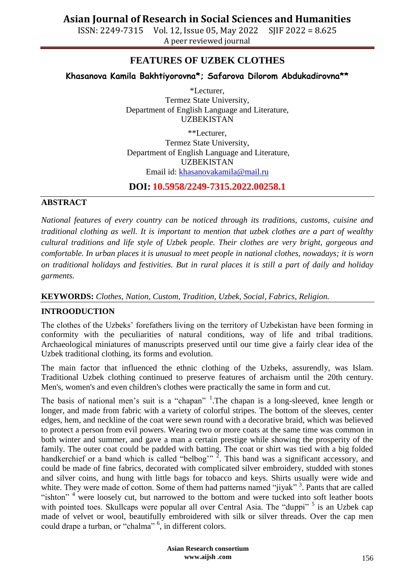ISSN: 2249-7315 Vol. 12, Issue 05, May 2022 SJIF 2022 = 8.625 A peer reviewed journal

## **FEATURES OF UZBEK CLOTHES**

### **Khasanova Kamila Bakhtiyorovna\*; Safarova Dilorom Abdukadirovna\*\***

\*Lecturer, Termez State University, Department of English Language and Literature, UZBEKISTAN

\*\*Lecturer, Termez State University, Department of English Language and Literature, UZBEKISTAN Email id: [khasanovakamila@mail.ru](mailto:khasanovakamila@mail.ru)

**DOI: 10.5958/2249-7315.2022.00258.1**

#### **ABSTRACT**

*National features of every country can be noticed through its traditions, customs, cuisine and traditional clothing as well. It is important to mention that uzbek clothes are a part of wealthy cultural traditions and life style of Uzbek people. Their clothes are very bright, gorgeous and comfortable. In urban places it is unusual to meet people in national clothes, nowadays; it is worn on traditional holidays and festivities. But in rural places it is still a part of daily and holiday garments.*

### **KEYWORDS:** *Clothes, Nation, Custom, Tradition, Uzbek, Social, Fabrics, Religion.*

### **INTROODUCTION**

The clothes of the Uzbeks' forefathers living on the territory of Uzbekistan have been forming in conformity with the peculiarities of natural conditions, way of life and tribal traditions. Archaeological miniatures of manuscripts preserved until our time give a fairly clear idea of the Uzbek traditional clothing, its forms and evolution.

The main factor that influenced the ethnic clothing of the Uzbeks, assurendly, was Islam. Traditional Uzbek clothing continued to preserve features of archaism until the 20th century. Men's, women's and even children's clothes were practically the same in form and cut.

The basis of national men's suit is a "chapan"  $<sup>1</sup>$ . The chapan is a long-sleeved, knee length or</sup> longer, and made from fabric with a variety of colorful stripes. The bottom of the sleeves, center edges, hem, and neckline of the coat were sewn round with a decorative braid, which was believed to protect a person from evil powers. Wearing two or more coats at the same time was common in both winter and summer, and gave a man a certain prestige while showing the prosperity of the family. The outer coat could be padded with batting. The coat or shirt was tied with a big folded handkerchief or a band which is called "belbog"<sup>,  $\frac{3}{2}$ </sup>. This band was a significant accessory, and could be made of fine fabrics, decorated with complicated silver embroidery, studded with stones and silver coins, and hung with little bags for tobacco and keys. Shirts usually were wide and white. They were made of cotton. Some of them had patterns named "jiyak"<sup>3</sup>. Pants that are called "ishton"<sup>4</sup> were loosely cut, but narrowed to the bottom and were tucked into soft leather boots with pointed toes. Skullcaps were popular all over Central Asia. The "duppi"<sup>5</sup> is an Uzbek cap made of velvet or wool, beautifully embroidered with silk or silver threads. Over the cap men could drape a turban, or "chalma" <sup>6</sup>, in different colors.

> **Asian Research consortium www.aijsh .com**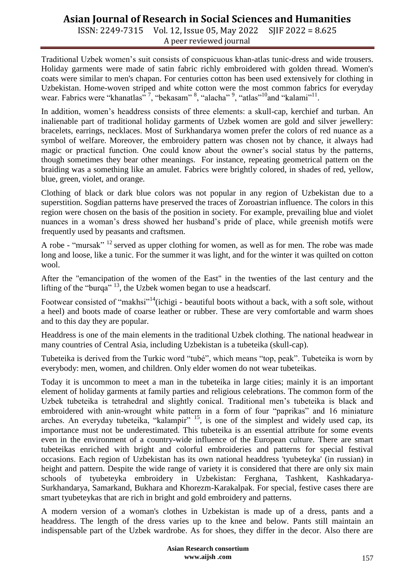# **Asian Journal of Research in Social Sciences and Humanities**

ISSN: 2249-7315 Vol. 12, Issue 05, May 2022 SJIF 2022 = 8.625 A peer reviewed journal

Traditional Uzbek women's suit consists of conspicuous khan-atlas tunic-dress and wide trousers. Holiday garments were made of satin fabric richly embroidered with golden thread. Women's coats were similar to men's chapan. For centuries cotton has been used extensively for clothing in Uzbekistan. Home-woven striped and white cotton were the most common fabrics for everyday wear. Fabrics were "khanatlas"<sup>7</sup>, "bekasam"<sup>8</sup>, "alacha"<sup>9</sup>, "atlas"<sup>10</sup>and "kalami"<sup>11</sup>.

In addition, women's headdress consists of three elements: a skull-cap, kerchief and turban. An inalienable part of traditional holiday garments of Uzbek women are gold and silver jewellery: bracelets, earrings, necklaces. Most of Surkhandarya women prefer the colors of red nuance as a symbol of welfare. Moreover, the embroidery pattern was chosen not by chance, it always had magic or practical function. One could know about the owner's social status by the patterns, though sometimes they bear other meanings. For instance, repeating geometrical pattern on the braiding was a something like an amulet. Fabrics were brightly colored, in shades of red, yellow, blue, green, violet, and orange.

Clothing of black or dark blue colors was not popular in any region of Uzbekistan due to a superstition. Sogdian patterns have preserved the traces of Zoroastrian influence. The colors in this region were chosen on the basis of the position in society. For example, prevailing blue and violet nuances in a woman's dress showed her husband's pride of place, while greenish motifs were frequently used by peasants and craftsmen.

A robe - "mursak" <sup>12</sup> served as upper clothing for women, as well as for men. The robe was made long and loose, like a tunic. For the summer it was light, and for the winter it was quilted on cotton wool.

After the "emancipation of the women of the East" in the twenties of the last century and the lifting of the "burga"  $^{13}$ , the Uzbek women began to use a headscarf.

Footwear consisted of "makhsi"<sup>14</sup>(ichigi - beautiful boots without a back, with a soft sole, without a heel) and boots made of coarse leather or rubber. These are very comfortable and warm shoes and to this day they are popular.

Headdress is one of the main elements in the traditional Uzbek clothing. The national headwear in many countries of Central Asia, including Uzbekistan is a tubeteika (skull-cap).

Tubeteika is derived from the Turkic word "tubé", which means "top, peak". Tubeteika is worn by everybody: men, women, and children. Only elder women do not wear tubeteikas.

Today it is uncommon to meet a man in the tubeteika in large cities; mainly it is an important element of holiday garments at family parties and religious celebrations. The common form of the Uzbek tubeteika is tetrahedral and slightly conical. Traditional men's tubeteika is black and embroidered with anin-wrought white pattern in a form of four "paprikas" and 16 miniature arches. An everyday tubeteika, "kalampir"  $^{15}$ , is one of the simplest and widely used cap, its importance must not be underestimated. This tubeteika is an essential attribute for some events even in the environment of a country-wide influence of the European culture. There are smart tubeteikas enriched with bright and colorful embroideries and patterns for special festival occasions. Each region of Uzbekistan has its own national headdress 'tyubeteyka' (in russian) in height and pattern. Despite the wide range of variety it is considered that there are only six main schools of tyubeteyka embroidery in Uzbekistan: Ferghana, Tashkent, Kashkadarya-Surkhandarya, Samarkand, Bukhara and Khorezm-Karakalpak. For special, festive cases there are smart tyubeteykas that are rich in bright and gold embroidery and patterns.

A modern version of a woman's clothes in Uzbekistan is made up of a dress, pants and a headdress. The length of the dress varies up to the knee and below. Pants still maintain an indispensable part of the Uzbek wardrobe. As for shoes, they differ in the decor. Also there are